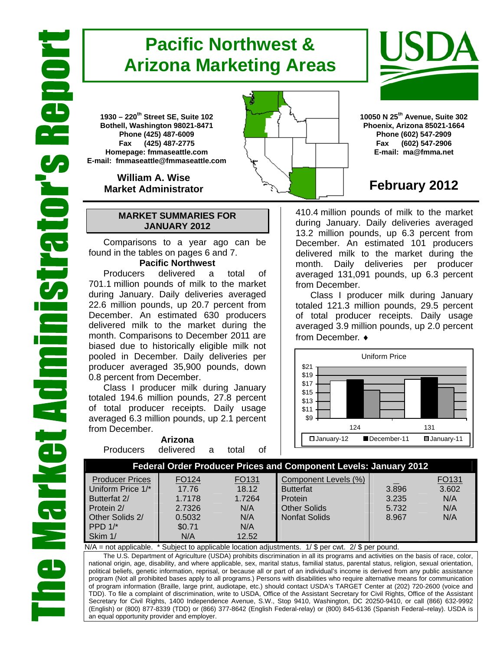# **Pacific Northwest & Arizona Marketing Areas**

**1930 – 220th Street SE, Suite 102 Bothell, Washington 98021-8471 Phone (425) 487-6009 Fax (425) 487-2775 Homepage: fmmaseattle.com E-mail: fmmaseattle@fmmaseattle.com**

> **William A. Wise Market Administrator**

# **MARKET SUMMARIES FOR JANUARY 2012**

 Comparisons to a year ago can be found in the tables on pages 6 and 7.

# **Pacific Northwest**

Producers delivered a total of 701.1 million pounds of milk to the market during January. Daily deliveries averaged 22.6 million pounds, up 20.7 percent from December. An estimated 630 producers delivered milk to the market during the month. Comparisons to December 2011 are biased due to historically eligible milk not pooled in December. Daily deliveries per producer averaged 35,900 pounds, down 0.8 percent from December.

Class I producer milk during January totaled 194.6 million pounds, 27.8 percent of total producer receipts. Daily usage averaged 6.3 million pounds, up 2.1 percent from December.

**Arizona**  Producers delivered a total of





**10050 N 25th Avenue, Suite 302 Phoenix, Arizona 85021-1664 Phone (602) 547-2909 Fax (602) 547-2906 E-mail: ma@fmma.net**

# **February 2012**

410.4 million pounds of milk to the market during January. Daily deliveries averaged 13.2 million pounds, up 6.3 percent from December. An estimated 101 producers delivered milk to the market during the month. Daily deliveries per producer averaged 131,091 pounds, up 6.3 percent from December.

Class I producer milk during January totaled 121.3 million pounds, 29.5 percent of total producer receipts. Daily usage averaged 3.9 million pounds, up 2.0 percent from December. ♦



## **Federal Order Producer Prices and Component Levels: January 2012**

| <b>Producer Prices</b> | FO124  | FO <sub>131</sub> | Component Levels (%) |       | FO131 |
|------------------------|--------|-------------------|----------------------|-------|-------|
| Uniform Price 1/*      | 17.76  | 18.12             | <b>Butterfat</b>     | 3.896 | 3.602 |
| Butterfat 2/           | 1.7178 | 1.7264            | <b>I</b> Protein     | 3.235 | N/A   |
| Protein 2/             | 2.7326 | N/A               | Other Solids         | 5.732 | N/A   |
| Other Solids 2/        | 0.5032 | N/A               | Nonfat Solids        | 8.967 | N/A   |
| PPD $1/*$              | \$0.71 | N/A               |                      |       |       |
| Skim 1/                | N/A    | 12.52             |                      |       |       |

N/A = not applicable. \* Subject to applicable location adjustments. 1/ \$ per cwt. 2/ \$ per pound.

The U.S. Department of Agriculture (USDA) prohibits discrimination in all its programs and activities on the basis of race, color, national origin, age, disability, and where applicable, sex, marital status, familial status, parental status, religion, sexual orientation, political beliefs, genetic information, reprisal, or because all or part of an individual's income is derived from any public assistance program (Not all prohibited bases apply to all programs.) Persons with disabilities who require alternative means for communication of program information (Braille, large print, audiotape, etc.) should contact USDA's TARGET Center at (202) 720-2600 (voice and TDD). To file a complaint of discrimination, write to USDA, Office of the Assistant Secretary for Civil Rights, Office of the Assistant Secretary for Civil Rights, 1400 Independence Avenue, S.W., Stop 9410, Washington, DC 20250-9410, or call (866) 632-9992 (English) or (800) 877-8339 (TDD) or (866) 377-8642 (English Federal-relay) or (800) 845-6136 (Spanish Federal–relay). USDA is an equal opportunity provider and employer.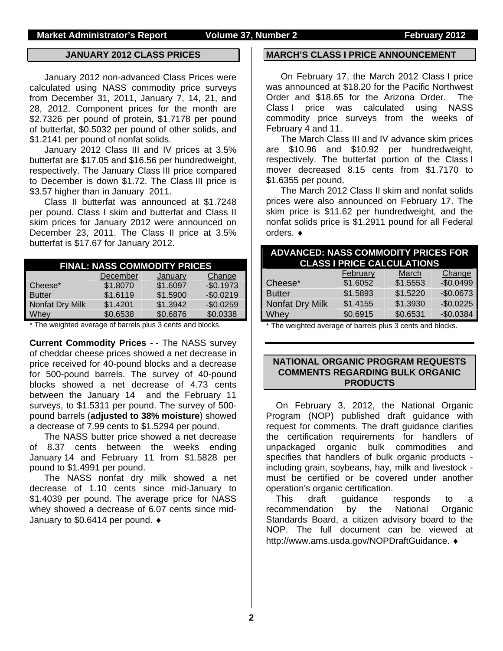### **JANUARY 2012 CLASS PRICES**

January 2012 non-advanced Class Prices were calculated using NASS commodity price surveys from December 31, 2011, January 7, 14, 21, and 28, 2012. Component prices for the month are \$2.7326 per pound of protein, \$1.7178 per pound of butterfat, \$0.5032 per pound of other solids, and \$1.2141 per pound of nonfat solids.

January 2012 Class III and IV prices at 3.5% butterfat are \$17.05 and \$16.56 per hundredweight, respectively. The January Class III price compared to December is down \$1.72. The Class III price is \$3.57 higher than in January 2011.

Class II butterfat was announced at \$1.7248 per pound. Class I skim and butterfat and Class II skim prices for January 2012 were announced on December 23, 2011. The Class II price at 3.5% butterfat is \$17.67 for January 2012.

|                 | <b>FINAL: NASS COMMODITY PRICES</b> |          |            |
|-----------------|-------------------------------------|----------|------------|
|                 | December                            | January  | Change     |
| Cheese*         | \$1.8070                            | \$1.6097 | $-$0.1973$ |
| <b>Butter</b>   | \$1.6119                            | \$1.5900 | $-$0.0219$ |
| Nonfat Dry Milk | \$1.4201                            | \$1.3942 | $-$0.0259$ |
| Whey            | \$0.6538                            | \$0.6876 | \$0.0338   |

\* The weighted average of barrels plus 3 cents and blocks.

**Current Commodity Prices - -** The NASS survey of cheddar cheese prices showed a net decrease in price received for 40-pound blocks and a decrease for 500-pound barrels. The survey of 40-pound blocks showed a net decrease of 4.73 cents between the January 14 and the February 11 surveys, to \$1.5311 per pound. The survey of 500 pound barrels (**adjusted to 38% moisture**) showed a decrease of 7.99 cents to \$1.5294 per pound.

The NASS butter price showed a net decrease of 8.37 cents between the weeks ending January 14 and February 11 from \$1.5828 per pound to \$1.4991 per pound.

The NASS nonfat dry milk showed a net decrease of 1.10 cents since mid-January to \$1.4039 per pound. The average price for NASS whey showed a decrease of 6.07 cents since mid-January to \$0.6414 per pound.

### **MARCH'S CLASS I PRICE ANNOUNCEMENT**

On February 17, the March 2012 Class I price was announced at \$18.20 for the Pacific Northwest Order and \$18.65 for the Arizona Order. The Class I price was calculated using NASS commodity price surveys from the weeks of February 4 and 11.

The March Class III and IV advance skim prices are \$10.96 and \$10.92 per hundredweight, respectively. The butterfat portion of the Class I mover decreased 8.15 cents from \$1.7170 to \$1.6355 per pound.

The March 2012 Class II skim and nonfat solids prices were also announced on February 17. The skim price is \$11.62 per hundredweight, and the nonfat solids price is \$1.2911 pound for all Federal orders.  $\bullet$ 

| <b>ADVANCED: NASS COMMODITY PRICES FOR</b><br><b>CLASS I PRICE CALCULATIONS</b> |          |          |            |  |  |  |  |  |
|---------------------------------------------------------------------------------|----------|----------|------------|--|--|--|--|--|
|                                                                                 | February | March    | Change     |  |  |  |  |  |
| Cheese*                                                                         | \$1.6052 | \$1.5553 | $-$0.0499$ |  |  |  |  |  |
| <b>Butter</b>                                                                   | \$1.5893 | \$1.5220 | $-$0.0673$ |  |  |  |  |  |
| Nonfat Dry Milk                                                                 | \$1.4155 | \$1.3930 | $-$0.0225$ |  |  |  |  |  |
| Whey                                                                            | \$0.6915 | \$0.6531 | $-$0.0384$ |  |  |  |  |  |

\* The weighted average of barrels plus 3 cents and blocks.

## **NATIONAL ORGANIC PROGRAM REQUESTS COMMENTS REGARDING BULK ORGANIC PRODUCTS**

On February 3, 2012, the National Organic Program (NOP) published draft guidance with request for comments. The draft guidance clarifies the certification requirements for handlers of unpackaged organic bulk commodities and specifies that handlers of bulk organic products including grain, soybeans, hay, milk and livestock must be certified or be covered under another operation's organic certification.

This draft guidance responds to a recommendation by the National Organic Standards Board, a citizen advisory board to the NOP. The full document can be viewed at http://www.ams.usda.gov/NOPDraftGuidance.  $\triangleleft$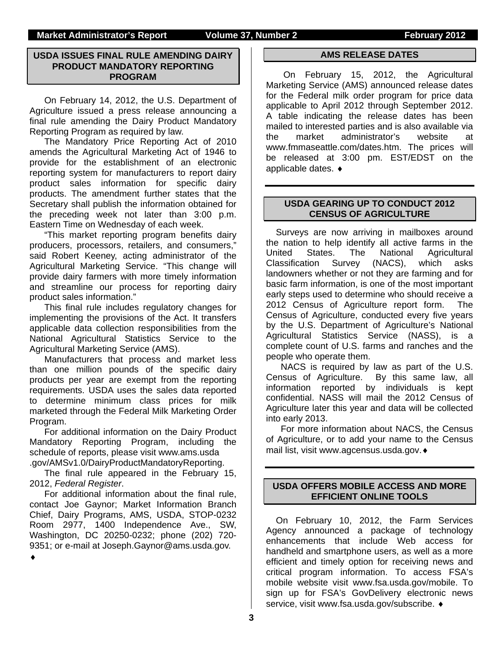### **Market Administrator's Report Volume 37, Number 2 February 2012**

# **USDA ISSUES FINAL RULE AMENDING DAIRY PRODUCT MANDATORY REPORTING PROGRAM**

On February 14, 2012, the U.S. Department of Agriculture issued a press release announcing a final rule amending the Dairy Product Mandatory Reporting Program as required by law.

The Mandatory Price Reporting Act of 2010 amends the Agricultural Marketing Act of 1946 to provide for the establishment of an electronic reporting system for manufacturers to report dairy product sales information for specific dairy products. The amendment further states that the Secretary shall publish the information obtained for the preceding week not later than 3:00 p.m. Eastern Time on Wednesday of each week.

"This market reporting program benefits dairy producers, processors, retailers, and consumers," said Robert Keeney, acting administrator of the Agricultural Marketing Service. "This change will provide dairy farmers with more timely information and streamline our process for reporting dairy product sales information."

This final rule includes regulatory changes for implementing the provisions of the Act. It transfers applicable data collection responsibilities from the National Agricultural Statistics Service to the Agricultural Marketing Service (AMS).

Manufacturers that process and market less than one million pounds of the specific dairy products per year are exempt from the reporting requirements. USDA uses the sales data reported to determine minimum class prices for milk marketed through the Federal Milk Marketing Order Program.

For additional information on the Dairy Product Mandatory Reporting Program, including the schedule of reports, please visit www.ams.usda .gov/AMSv1.0/DairyProductMandatoryReporting.

The final rule appeared in the February 15, 2012, *Federal Register*.

For additional information about the final rule, contact Joe Gaynor; Market Information Branch Chief, Dairy Programs, AMS, USDA, STOP-0232 Room 2977, 1400 Independence Ave., SW, Washington, DC 20250-0232; phone (202) 720- 9351; or e-mail at Joseph.Gaynor@ams.usda.gov.

 $\blacklozenge$ 

### **AMS RELEASE DATES**

 On February 15, 2012, the Agricultural Marketing Service (AMS) announced release dates for the Federal milk order program for price data applicable to April 2012 through September 2012. A table indicating the release dates has been mailed to interested parties and is also available via the market administrator's website at www.fmmaseattle.com/dates.htm. The prices will be released at 3:00 pm. EST/EDST on the applicable dates.

# **USDA GEARING UP TO CONDUCT 2012 CENSUS OF AGRICULTURE**

Surveys are now arriving in mailboxes around the nation to help identify all active farms in the<br>United States. The National Agricultural United States. The National Agricultural Classification Survey (NACS), which asks landowners whether or not they are farming and for basic farm information, is one of the most important early steps used to determine who should receive a 2012 Census of Agriculture report form. The Census of Agriculture, conducted every five years by the U.S. Department of Agriculture's National Agricultural Statistics Service (NASS), is a complete count of U.S. farms and ranches and the people who operate them.

NACS is required by law as part of the U.S. Census of Agriculture. By this same law, all information reported by individuals is kept confidential. NASS will mail the 2012 Census of Agriculture later this year and data will be collected into early 2013.

For more information about NACS, the Census of Agriculture, or to add your name to the Census mail list, visit www.agcensus.usda.gov.

# **USDA OFFERS MOBILE ACCESS AND MORE EFFICIENT ONLINE TOOLS**

On February 10, 2012, the Farm Services Agency announced a package of technology enhancements that include Web access for handheld and smartphone users, as well as a more efficient and timely option for receiving news and critical program information. To access FSA's mobile website visit www.fsa.usda.gov/mobile. To sign up for FSA's GovDelivery electronic news service, visit www.fsa.usda.gov/subscribe.  $\bullet$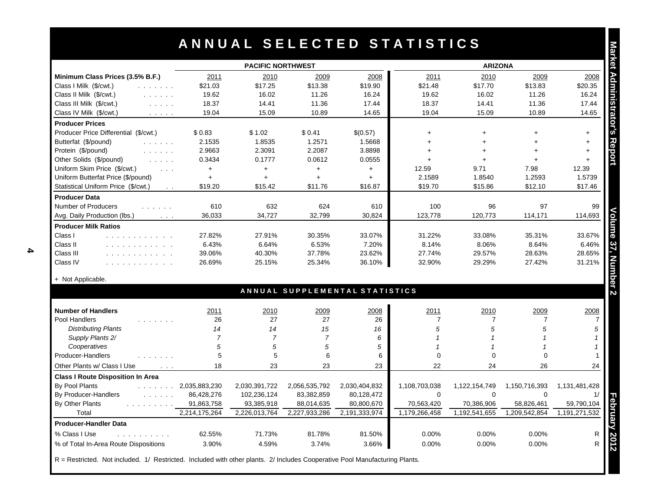|                                                                                                                     |                      | <b>PACIFIC NORTHWEST</b> |                |                                | <b>ARIZONA</b> |                |                |                                                                               |
|---------------------------------------------------------------------------------------------------------------------|----------------------|--------------------------|----------------|--------------------------------|----------------|----------------|----------------|-------------------------------------------------------------------------------|
| Minimum Class Prices (3.5% B.F.)                                                                                    | 2011                 | 2010                     | 2009           | 2008                           | 2011           | 2010           | 2009           | 2008                                                                          |
| Class I Milk (\$/cwt.)<br>.                                                                                         | \$21.03              | \$17.25                  | \$13.38        | \$19.90                        | \$21.48        | \$17.70        | \$13.83        | \$20.35                                                                       |
| Class II Milk (\$/cwt.)<br>$\mathcal{L}^{\mathcal{A}}$ . The set of $\mathcal{A}$                                   | 19.62                | 16.02                    | 11.26          | 16.24                          | 19.62          | 16.02          | 11.26          | 16.24                                                                         |
| Class III Milk (\$/cwt.)<br>$\mathcal{L}^{\mathcal{A}}$ , $\mathcal{L}^{\mathcal{A}}$ , $\mathcal{L}^{\mathcal{A}}$ | 18.37                | 14.41                    | 11.36          | 17.44                          | 18.37          | 14.41          | 11.36          | 17.44                                                                         |
| Class IV Milk (\$/cwt.)<br>$\mathcal{L}$ , and $\mathcal{L}$ , and $\mathcal{L}$                                    | 19.04                | 15.09                    | 10.89          | 14.65                          | 19.04          | 15.09          | 10.89          | 14.65                                                                         |
| <b>Producer Prices</b>                                                                                              |                      |                          |                |                                |                |                |                |                                                                               |
| Producer Price Differential (\$/cwt.)                                                                               | \$0.83               | \$1.02                   | \$0.41         | \$(0.57)                       | $+$            | $+$            | $+$            | $+$                                                                           |
| Butterfat (\$/pound)<br>and a series                                                                                | 2.1535               | 1.8535                   | 1.2571         | 1.5668                         | $\ddot{}$      | $+$            | $+$            | $\ddot{}$                                                                     |
| Protein (\$/pound)<br>$\mathcal{L}$ , and $\mathcal{L}$ , and $\mathcal{L}$                                         | 2.9663               | 2.3091                   | 2.2087         | 3.8898                         | $+$            | $+$            | $+$            | $+$                                                                           |
| Other Solids (\$/pound)<br>$\mathcal{L}^{\mathcal{A}}$ , and $\mathcal{L}^{\mathcal{A}}$ , and                      | 0.3434               | 0.1777                   | 0.0612         | 0.0555                         | $+$            | $+$            | $+$            | $+$                                                                           |
| Uniform Skim Price (\$/cwt.)<br>$\sim 100$ km $^{-1}$                                                               | $\ddag$              | $+$                      | $+$            | $\ddot{}$                      | 12.59          | 9.71           | 7.98           | 12.39                                                                         |
| Uniform Butterfat Price (\$/pound)                                                                                  | $\ddot{\phantom{1}}$ | $+$                      | $+$            | $+$                            | 2.1589         | 1.8540         | 1.2593         | 1.5739                                                                        |
| Statistical Uniform Price (\$/cwt.)<br>$\ddot{\phantom{0}}$                                                         | \$19.20              | \$15.42                  | \$11.76        | \$16.87                        | \$19.70        | \$15.86        | \$12.10        | \$17.46                                                                       |
| <b>Producer Data</b>                                                                                                |                      |                          |                |                                |                |                |                |                                                                               |
| Number of Producers<br>.                                                                                            | 610                  | 632                      | 624            | 610                            | 100            | 96             | 97             | 99                                                                            |
| Avg. Daily Production (lbs.)<br>$\sim 100$                                                                          | 36,033               | 34,727                   | 32,799         | 30,824                         | 123,778        | 120,773        | 114,171        | 114,693                                                                       |
| <b>Producer Milk Ratios</b>                                                                                         |                      |                          |                |                                |                |                |                |                                                                               |
| Class I<br>and a series and a series of the                                                                         | 27.82%               | 27.91%                   | 30.35%         | 33.07%                         | 31.22%         | 33.08%         | 35.31%         | 33.67%                                                                        |
| Class II                                                                                                            | 6.43%                | 6.64%                    | 6.53%          | 7.20%                          | 8.14%          | 8.06%          | 8.64%          | 6.46%                                                                         |
| Class III<br>and a straightful and a straight                                                                       | 39.06%               | 40.30%                   | 37.78%         | 23.62%                         | 27.74%         | 29.57%         | 28.63%         | 28.65%                                                                        |
| Class IV<br>.                                                                                                       | 26.69%               | 25.15%                   | 25.34%         | 36.10%                         | 32.90%         | 29.29%         | 27.42%         | 31.21%                                                                        |
| + Not Applicable.                                                                                                   |                      |                          |                |                                |                |                |                |                                                                               |
|                                                                                                                     |                      |                          |                |                                |                |                |                |                                                                               |
|                                                                                                                     |                      |                          |                |                                |                |                |                |                                                                               |
|                                                                                                                     |                      |                          |                | ANNUAL SUPPLEMENTAL STATISTICS |                |                |                |                                                                               |
| <b>Number of Handlers</b>                                                                                           | 2011                 | 2010                     | 2009           | 2008                           | 2011           | 2010           | 2009           |                                                                               |
| Pool Handlers<br>.                                                                                                  | 26                   | 27                       | 27             | 26                             | $\overline{7}$ | $\overline{7}$ | $\overline{7}$ |                                                                               |
| <b>Distributing Plants</b>                                                                                          | 14                   | 14                       | 15             | 16                             | 5              | 5              | 5              |                                                                               |
| Supply Plants 2/                                                                                                    | 7                    | $\overline{7}$           | $\overline{7}$ | 6                              | $\overline{1}$ | $\mathbf{1}$   | $\overline{1}$ |                                                                               |
| Cooperatives                                                                                                        | 5                    | 5                        | 5              | 5                              |                | $\overline{1}$ | $\overline{1}$ |                                                                               |
|                                                                                                                     | 5                    | 5                        | 6              | 6                              | $\Omega$       | $\Omega$       | $\Omega$       |                                                                               |
| Producer-Handlers<br>Other Plants w/ Class I Use<br>$\sim 100$ km s $^{-1}$                                         | 18                   | 23                       | 23             | 23                             | 22             | 24             | 26             |                                                                               |
| <b>Class I Route Disposition In Area</b>                                                                            |                      |                          |                |                                |                |                |                |                                                                               |
| By Pool Plants<br>a dia anala di                                                                                    | 2,035,883,230        | 2,030,391,722            | 2,056,535,792  | 2,030,404,832                  | 1,108,703,038  | 1,122,154,749  | 1,150,716,393  |                                                                               |
| By Producer-Handlers                                                                                                | 86,428,276           | 102,236,124              | 83,382,859     | 80,128,472                     | $\mathbf 0$    | $\mathbf 0$    | $\mathbf 0$    |                                                                               |
| and a straight and                                                                                                  | 91,863,758           | 93,385,918               | 88,014,635     | 80,800,670                     | 70,563,420     | 70,386,906     | 58,826,461     |                                                                               |
| By Other Plants<br>Total                                                                                            | 2,214,175,264        | 2,226,013,764            | 2,227,933,286  | 2,191,333,974                  | 1,179,266,458  | 1,192,541,655  | 1,209,542,854  |                                                                               |
| <b>Producer-Handler Data</b>                                                                                        |                      |                          |                |                                |                |                |                |                                                                               |
| % Class I Use<br>.                                                                                                  | 62.55%               | 71.73%                   | 81.78%         | 81.50%                         | 0.00%          | 0.00%          | 0.00%          | 2008<br>24<br>1,131,481,428<br>1/<br>59,790,104<br>1,191,271,532<br>${\sf R}$ |

R = Restricted. Not included. 1/ Restricted. Included with other plants. 2/ Includes Cooperative Pool Manufacturing Plants.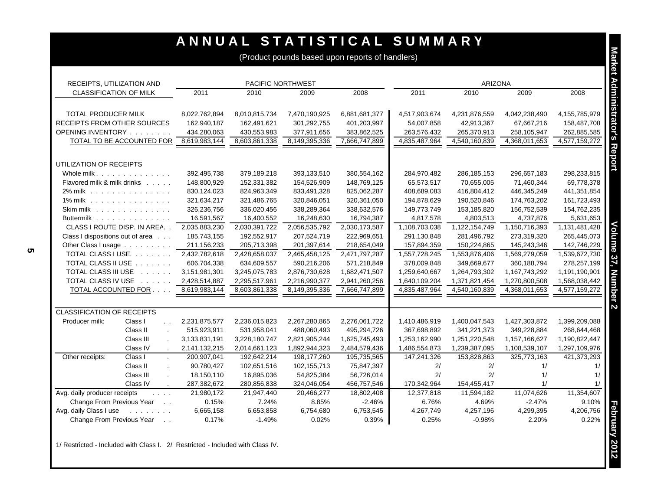# **A N N U A L S T A T I S T I C A L S U M M A R Y**

(Product pounds based upon reports of handlers)

| RECEIPTS, UTILIZATION AND                             |                               |               | <b>PACIFIC NORTHWEST</b> |               |               |               | <b>ARIZONA</b> |               |               |
|-------------------------------------------------------|-------------------------------|---------------|--------------------------|---------------|---------------|---------------|----------------|---------------|---------------|
| <b>CLASSIFICATION OF MILK</b>                         |                               | 2011          | 2010                     | 2009          | 2008          | 2011          | 2010           | 2009          | 2008          |
|                                                       |                               |               |                          |               |               |               |                |               |               |
| <b>TOTAL PRODUCER MILK</b>                            |                               | 8,022,762,894 | 8,010,815,734            | 7,470,190,925 | 6,881,681,377 | 4,517,903,674 | 4,231,876,559  | 4,042,238,490 | 4,155,785,979 |
| <b>RECEIPTS FROM OTHER SOURCES</b>                    |                               | 162,940,187   | 162,491,621              | 301,292,755   | 401,203,997   | 54,007,858    | 42,913,367     | 67,667,216    | 158,487,708   |
| OPENING INVENTORY                                     |                               | 434,280,063   | 430,553,983              | 377,911,656   | 383,862,525   | 263,576,432   | 265,370,913    | 258,105,947   | 262,885,585   |
|                                                       | TOTAL TO BE ACCOUNTED FOR     | 8,619,983,144 | 8,603,861,338            | 8,149,395,336 | 7,666,747,899 | 4,835,487,964 | 4,540,160,839  | 4,368,011,653 | 4,577,159,272 |
|                                                       |                               |               |                          |               |               |               |                |               |               |
| UTILIZATION OF RECEIPTS                               |                               |               |                          |               |               |               |                |               |               |
| Whole milk. $\ldots$ , $\ldots$ , $\ldots$ , $\ldots$ |                               | 392,495,738   | 379,189,218              | 393,133,510   | 380,554,162   | 284,970,482   | 286,185,153    | 296,657,183   | 298,233,815   |
| Flavored milk & milk drinks                           |                               | 148,800,929   | 152,331,382              | 154,526,909   | 148,769,125   | 65,573,517    | 70,655,005     | 71,460,344    | 69,778,378    |
| 2% milk                                               |                               | 830,124,023   | 824,963,349              | 833,491,328   | 825,062,287   | 408,689,083   | 416,804,412    | 446,345,249   | 441,351,854   |
| 1% milk                                               |                               | 321,634,217   | 321,486,765              | 320,846,051   | 320,361,050   | 194,878,629   | 190,520,846    | 174,763,202   | 161,723,493   |
| Skim milk                                             |                               | 326,236,756   | 336,020,456              | 338,289,364   | 338,632,576   | 149,773,749   | 153,185,820    | 156,752,539   | 154,762,235   |
| Buttermilk                                            |                               | 16,591,567    | 16,400,552               | 16,248,630    | 16,794,387    | 4,817,578     | 4,803,513      | 4,737,876     | 5,631,653     |
|                                                       | CLASS I ROUTE DISP. IN AREA   | 2,035,883,230 | 2,030,391,722            | 2,056,535,792 | 2,030,173,587 | 1,108,703,038 | 1,122,154,749  | 1,150,716,393 | 1,131,481,428 |
| Class I dispositions out of area                      |                               | 185,743,155   | 192,552,917              | 207,524,719   | 222,969,651   | 291,130,848   | 281,496,792    | 273,319,320   | 265,445,073   |
|                                                       | Other Class I usage           | 211, 156, 233 | 205,713,398              | 201,397,614   | 218,654,049   | 157,894,359   | 150,224,865    | 145,243,346   | 142,746,229   |
|                                                       | TOTAL CLASS I USE.            | 2,432,782,618 | 2,428,658,037            | 2,465,458,125 | 2,471,797,287 | 1,557,728,245 | 1,553,876,406  | 1,569,279,059 | 1,539,672,730 |
|                                                       | TOTAL CLASS II USE            | 606,704,338   | 634,609,557              | 590,216,206   | 571,218,849   | 378,009,848   | 349,669,677    | 360,188,794   | 278,257,199   |
|                                                       | TOTAL CLASS III USE           | 3,151,981,301 | 3,245,075,783            | 2,876,730,628 | 1,682,471,507 | 1,259,640,667 | 1,264,793,302  | 1,167,743,292 | 1,191,190,901 |
|                                                       | TOTAL CLASS IV USE            | 2,428,514,887 | 2,295,517,961            | 2,216,990,377 | 2,941,260,256 | 1,640,109,204 | 1,371,821,454  | 1,270,800,508 | 1,568,038,442 |
|                                                       | TOTAL ACCOUNTED FOR           | 8,619,983,144 | 8,603,861,338            | 8,149,395,336 | 7,666,747,899 | 4,835,487,964 | 4,540,160,839  | 4,368,011,653 | 4,577,159,272 |
|                                                       |                               |               |                          |               |               |               |                |               |               |
| <b>CLASSIFICATION OF RECEIPTS</b>                     |                               |               |                          |               |               |               |                |               |               |
| Producer milk:                                        | Class I                       | 2,231,875,577 | 2,236,015,823            | 2,267,280,865 | 2,276,061,722 | 1,410,486,919 | 1,400,047,543  | 1,427,303,872 | 1,399,209,088 |
|                                                       | Class II                      | 515,923,911   | 531,958,041              | 488,060,493   | 495,294,726   | 367,698,892   | 341,221,373    | 349,228,884   | 268,644,468   |
|                                                       | Class III                     | 3,133,831,191 | 3,228,180,747            | 2,821,905,244 | 1,625,745,493 | 1,253,162,990 | 1,251,220,548  | 1,157,166,627 | 1,190,822,447 |
|                                                       | Class IV                      | 2,141,132,215 | 2,014,661,123            | 1,892,944,323 | 2,484,579,436 | 1,486,554,873 | 1,239,387,095  | 1,108,539,107 | 1,297,109,976 |
| Other receipts:                                       | Class I                       | 200,907,041   | 192,642,214              | 198, 177, 260 | 195,735,565   | 147,241,326   | 153,828,863    | 325,773,163   | 421,373,293   |
|                                                       | Class II                      | 90,780,427    | 102,651,516              | 102,155,713   | 75,847,397    | 2/            | 2/             | 1/            | 1/            |
|                                                       | Class III<br>$\mathbf{r}$     | 18,150,110    | 16,895,036               | 54,825,384    | 56,726,014    | 2/            | 2/             | 1/            | 1/            |
|                                                       | Class IV                      | 287,382,672   | 280,856,838              | 324,046,054   | 456,757,546   | 170,342,964   | 154,455,417    | 1/            | 1/            |
| Avg. daily producer receipts                          | $\mathbf{1}$ and $\mathbf{1}$ | 21,980,172    | 21,947,440               | 20,466,277    | 18,802,408    | 12,377,818    | 11,594,182     | 11,074,626    | 11,354,607    |
| Change From Previous Year                             | $\sim 10$                     | 0.15%         | 7.24%                    | 8.85%         | $-2.46%$      | 6.76%         | 4.69%          | $-2.47%$      | 9.10%         |
| Avg. daily Class I use                                | and a straight and            | 6,665,158     | 6,653,858                | 6,754,680     | 6,753,545     | 4,267,749     | 4,257,196      | 4,299,395     | 4,206,756     |
| Change From Previous Year                             | $\sim$ $\sim$                 | 0.17%         | $-1.49%$                 | 0.02%         | 0.39%         | 0.25%         | $-0.98%$       | 2.20%         | 0.22%         |

1/ Restricted - Included with Class I. 2/ Restricted - Included with Class IV.

# **Market Administrator's Report Volume 37, Number 2**Market Administrator's Report

Volume 37, Number 2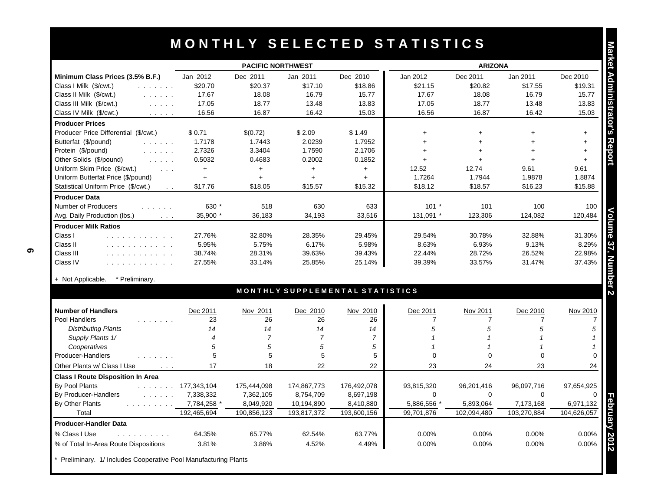|                                                                                                                                                   |                      | <b>PACIFIC NORTHWEST</b> |                |                                 | <b>ARIZONA</b>          |                            |                            |                                   |
|---------------------------------------------------------------------------------------------------------------------------------------------------|----------------------|--------------------------|----------------|---------------------------------|-------------------------|----------------------------|----------------------------|-----------------------------------|
| Minimum Class Prices (3.5% B.F.)                                                                                                                  | Jan 2012             | Dec 2011                 | Jan 2011       | Dec 2010                        | Jan 2012                | Dec 2011                   | Jan 2011                   | Dec 2010                          |
| Class I Milk (\$/cwt.)                                                                                                                            | \$20.70              | \$20.37                  | \$17.10        | \$18.86                         | \$21.15                 | \$20.82                    | \$17.55                    | \$19.31                           |
| Class II Milk (\$/cwt.)<br>and a straight                                                                                                         | 17.67                | 18.08                    | 16.79          | 15.77                           | 17.67                   | 18.08                      | 16.79                      | 15.77                             |
| Class III Milk (\$/cwt.)<br>$\mathcal{L}^{\mathcal{A}}$ , $\mathcal{L}^{\mathcal{A}}$ , $\mathcal{L}^{\mathcal{A}}$ , $\mathcal{L}^{\mathcal{A}}$ | 17.05                | 18.77                    | 13.48          | 13.83                           | 17.05                   | 18.77                      | 13.48                      | 13.83                             |
| Class IV Milk (\$/cwt.)<br>$\mathcal{L}^{\mathcal{A}}$ . The contract of                                                                          | 16.56                | 16.87                    | 16.42          | 15.03                           | 16.56                   | 16.87                      | 16.42                      | 15.03                             |
| <b>Producer Prices</b>                                                                                                                            |                      |                          |                |                                 |                         |                            |                            |                                   |
| Producer Price Differential (\$/cwt.)                                                                                                             | \$0.71               | \$(0.72)                 | \$2.09         | \$1.49                          | $\ddot{}$               | $\ddot{}$                  | $\ddot{}$                  | $+$                               |
| Butterfat (\$/pound)<br>and a straight                                                                                                            | 1.7178               | 1.7443                   | 2.0239         | 1.7952                          | $\ddot{+}$              | $\ddot{+}$                 |                            | $\ddot{\phantom{1}}$              |
| Protein (\$/pound)<br>and a straight                                                                                                              | 2.7326               | 3.3404                   | 1.7590         | 2.1706                          | $+$                     | $+$                        | $+$                        | $+$                               |
| Other Solids (\$/pound)<br>and the same                                                                                                           | 0.5032               | 0.4683                   | 0.2002         | 0.1852                          | $+$                     | $+$                        | $\ddotmark$                | $+$                               |
| Uniform Skim Price (\$/cwt.)<br>$\sim$ $\sim$                                                                                                     | $+$                  | $+$                      | $+$            | $+$                             | 12.52                   | 12.74                      | 9.61                       | 9.61                              |
| Uniform Butterfat Price (\$/pound)                                                                                                                | $+$                  | $+$                      | $+$            | $+$                             | 1.7264                  | 1.7944                     | 1.9878                     | 1.8874                            |
| Statistical Uniform Price (\$/cwt.)<br>$\sim 10$                                                                                                  | \$17.76              | \$18.05                  | \$15.57        | \$15.32                         | \$18.12                 | \$18.57                    | \$16.23                    | \$15.88                           |
| <b>Producer Data</b>                                                                                                                              |                      |                          |                |                                 |                         |                            |                            |                                   |
| <b>Number of Producers</b><br>.                                                                                                                   | 630 *                | 518                      | 630            | 633                             | $101 *$                 | 101                        | 100                        | 100                               |
| Avg. Daily Production (lbs.)<br>$\sim 100$                                                                                                        | 35,900 *             | 36,183                   | 34,193         | 33,516                          | 131,091 *               | 123,306                    | 124,082                    | 120,484                           |
| <b>Producer Milk Ratios</b>                                                                                                                       |                      |                          |                |                                 |                         |                            |                            |                                   |
| Class I<br>.                                                                                                                                      | 27.76%               | 32.80%                   | 28.35%         | 29.45%                          | 29.54%                  | 30.78%                     | 32.88%                     | 31.30%                            |
| Class II<br>.                                                                                                                                     | 5.95%                | 5.75%                    | 6.17%          | 5.98%                           | 8.63%                   | 6.93%                      | 9.13%                      | 8.29%                             |
| Class III<br>.                                                                                                                                    | 38.74%               | 28.31%                   | 39.63%         | 39.43%                          | 22.44%                  | 28.72%                     | 26.52%                     | 22.98%                            |
| Class IV<br>.                                                                                                                                     | 27.55%               | 33.14%                   | 25.85%         | 25.14%                          | 39.39%                  | 33.57%                     | 31.47%                     | 37.43%                            |
|                                                                                                                                                   |                      |                          |                |                                 |                         |                            |                            |                                   |
|                                                                                                                                                   |                      |                          |                |                                 |                         |                            |                            |                                   |
| + Not Applicable.<br>* Preliminary.                                                                                                               |                      |                          |                | MONTHLY SUPPLEMENTAL STATISTICS |                         |                            |                            |                                   |
| <b>Number of Handlers</b>                                                                                                                         |                      |                          |                |                                 |                         |                            |                            |                                   |
|                                                                                                                                                   | Dec 2011<br>23       | Nov 2011<br>26           | Dec 2010<br>26 | Nov 2010                        | Dec 2011<br>7           | Nov 2011<br>$\overline{7}$ | Dec 2010<br>$\overline{7}$ |                                   |
| Pool Handlers<br>.                                                                                                                                | 14                   | 14                       | 14             | 26<br>14                        | 5                       | 5                          | 5                          | Nov 2010                          |
| <b>Distributing Plants</b>                                                                                                                        | $\overline{4}$       | $\overline{7}$           | $\overline{7}$ | $\overline{7}$                  | $\overline{\mathbf{1}}$ |                            |                            |                                   |
| Supply Plants 1/                                                                                                                                  | 5                    | 5                        |                |                                 | $\overline{\mathbf{1}}$ | 1                          |                            |                                   |
| Cooperatives                                                                                                                                      | 5                    | 5                        | 5<br>5         | 5<br>5                          | $\Omega$                | $\Omega$                   | $\Omega$                   |                                   |
| Producer-Handlers<br>Other Plants w/ Class I Use<br>$\mathcal{L}^{\mathcal{A}}$ and $\mathcal{L}^{\mathcal{A}}$                                   | 17                   | 18                       | 22             | 22                              | 23                      | 24                         | 23                         |                                   |
| <b>Class I Route Disposition In Area</b>                                                                                                          |                      |                          |                |                                 |                         |                            |                            |                                   |
|                                                                                                                                                   | $\ldots$ 177,343,104 | 175,444,098              | 174,867,773    | 176,492,078                     | 93,815,320              | 96,201,416                 | 96,097,716                 | 24<br>97,654,925                  |
| By Pool Plants<br>By Producer-Handlers                                                                                                            | 7,338,332            | 7,362,105                | 8,754,709      | 8,697,198                       | $\Omega$                | $\Omega$                   | $\Omega$                   |                                   |
| and a straight and a straight                                                                                                                     | 7,784,258 *          | 8,049,920                | 10,194,890     | 8,410,880                       | 5,886,556 *             | 5,893,064                  | 7,173,168                  |                                   |
| By Other Plants<br>Total                                                                                                                          | 192,465,694          | 190,856,123              | 193,817,372    | 193,600,156                     | 99,701,876              | 102.094.480                | 103,270,884                |                                   |
|                                                                                                                                                   |                      |                          |                |                                 |                         |                            |                            |                                   |
| <b>Producer-Handler Data</b><br>% Class I Use<br>.                                                                                                | 64.35%               | 65.77%                   | 62.54%         | 63.77%                          | 0.00%                   | 0.00%                      | 0.00%                      | 6,971,132<br>104,626,057<br>0.00% |

Preliminary. 1/ Includes Cooperative Pool Manufacturing Plants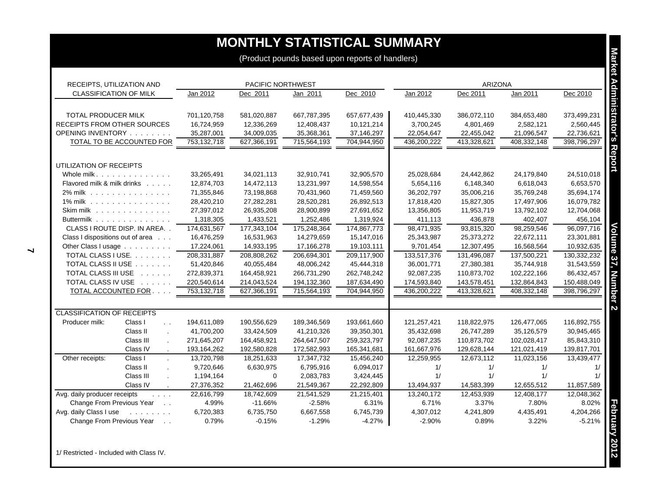| RECEIPTS, UTILIZATION AND         |                                      | PACIFIC NORTHWEST |             |             |             | <b>ARIZONA</b> |             |             |             |
|-----------------------------------|--------------------------------------|-------------------|-------------|-------------|-------------|----------------|-------------|-------------|-------------|
| <b>CLASSIFICATION OF MILK</b>     |                                      | Jan 2012          | Dec 2011    | Jan 2011    | Dec 2010    | Jan 2012       | Dec 2011    | Jan 2011    | Dec 2010    |
| TOTAL PRODUCER MILK               |                                      | 701,120,758       | 581,020,887 | 667,787,395 | 657,677,439 | 410,445,330    | 386,072,110 | 384,653,480 | 373,499,231 |
| RECEIPTS FROM OTHER SOURCES       |                                      | 16,724,959        | 12,336,269  | 12,408,437  | 10,121,214  | 3,700,245      | 4,801,469   | 2,582,121   | 2,560,445   |
| OPENING INVENTORY                 |                                      | 35,287,001        | 34,009,035  | 35,368,361  | 37,146,297  | 22,054,647     | 22,455,042  | 21,096,547  | 22,736,621  |
| TOTAL TO BE ACCOUNTED FOR         |                                      | 753,132,718       | 627,366,191 | 715,564,193 | 704,944,950 | 436,200,222    | 413,328,621 | 408,332,148 | 398,796,297 |
| UTILIZATION OF RECEIPTS           |                                      |                   |             |             |             |                |             |             |             |
| Whole milk.                       |                                      | 33,265,491        | 34,021,113  | 32,910,741  | 32,905,570  | 25,028,684     | 24,442,862  | 24,179,840  | 24,510,018  |
| Flavored milk & milk drinks       |                                      | 12,874,703        | 14,472,113  | 13,231,997  | 14,598,554  | 5,654,116      | 6,148,340   | 6,618,043   | 6,653,570   |
| 2% milk                           |                                      | 71,355,846        | 73,198,868  | 70,431,960  | 71,459,560  | 36,202,797     | 35,006,216  | 35,769,248  | 35,694,174  |
| 1% milk                           |                                      | 28,420,210        | 27,282,281  | 28,520,281  | 26,892,513  | 17,818,420     | 15,827,305  | 17,497,906  | 16,079,782  |
| Skim milk                         |                                      | 27,397,012        | 26,935,208  | 28,900,899  | 27,691,652  | 13,356,805     | 11,953,719  | 13,792,102  | 12,704,068  |
| Buttermilk                        |                                      | 1,318,305         | 1,433,521   | 1,252,486   | 1,319,924   | 411,113        | 436,878     | 402,407     | 456,104     |
| CLASS I ROUTE DISP. IN AREA       |                                      | 174,631,567       | 177,343,104 | 175,248,364 | 174,867,773 | 98,471,935     | 93,815,320  | 98,259,546  | 96,097,716  |
| Class I dispositions out of area  |                                      | 16,476,259        | 16,531,963  | 14,279,659  | 15,147,016  | 25,343,987     | 25,373,272  | 22,672,111  | 23,301,881  |
| Other Class I usage               |                                      | 17,224,061        | 14,933,195  | 17,166,278  | 19,103,111  | 9,701,454      | 12,307,495  | 16,568,564  | 10,932,635  |
| TOTAL CLASS I USE.                |                                      | 208,331,887       | 208,808,262 | 206,694,301 | 209,117,900 | 133,517,376    | 131,496,087 | 137,500,221 | 130,332,232 |
| TOTAL CLASS II USE                |                                      | 51,420,846        | 40,055,484  | 48,006,242  | 45,444,318  | 36,001,771     | 27,380,381  | 35,744,918  | 31,543,559  |
| TOTAL CLASS III USE               |                                      | 272,839,371       | 164,458,921 | 266,731,290 | 262,748,242 | 92,087,235     | 110,873,702 | 102,222,166 | 86,432,457  |
| TOTAL CLASS IV USE                |                                      | 220,540,614       | 214,043,524 | 194,132,360 | 187,634,490 | 174,593,840    | 143,578,451 | 132,864,843 | 150,488,049 |
| TOTAL ACCOUNTED FOR               |                                      | 753,132,718       | 627,366,191 | 715,564,193 | 704,944,950 | 436,200,222    | 413,328,621 | 408,332,148 | 398,796,297 |
| <b>CLASSIFICATION OF RECEIPTS</b> |                                      |                   |             |             |             |                |             |             |             |
| Producer milk:                    | Class I<br>$\sim$ $\sim$             | 194,611,089       | 190,556,629 | 189,346,569 | 193,661,660 | 121,257,421    | 118,822,975 | 126,477,065 | 116,892,755 |
|                                   | Class II<br>$\overline{\phantom{a}}$ | 41,700,200        | 33,424,509  | 41,210,326  | 39,350,301  | 35,432,698     | 26,747,289  | 35,126,579  | 30,945,465  |
|                                   | Class III                            | 271,645,207       | 164,458,921 | 264,647,507 | 259,323,797 | 92,087,235     | 110,873,702 | 102,028,417 | 85,843,310  |
|                                   | Class IV                             | 193,164,262       | 192,580,828 | 172,582,993 | 165,341,681 | 161,667,976    | 129,628,144 | 121,021,419 | 139,817,701 |
| Other receipts:                   | Class I                              | 13,720,798        | 18,251,633  | 17,347,732  | 15,456,240  | 12,259,955     | 12,673,112  | 11,023,156  | 13,439,477  |
|                                   | Class II                             | 9,720,646         | 6,630,975   | 6,795,916   | 6,094,017   | 1/             | 1/          | 1/          |             |
|                                   | Class III                            | 1,194,164         | $\mathbf 0$ | 2,083,783   | 3,424,445   | 1/             | 1/          | 1/          |             |
|                                   | Class IV                             | 27,376,352        | 21,462,696  | 21,549,367  | 22,292,809  | 13,494,937     | 14,583,399  | 12,655,512  | 11,857,589  |
| Avg. daily producer receipts      | $\sim$ $\sim$ $\sim$ $\sim$          | 22,616,799        | 18,742,609  | 21,541,529  | 21,215,401  | 13,240,172     | 12,453,939  | 12,408,177  | 12,048,362  |
| Change From Previous Year         |                                      | 4.99%             | $-11.66%$   | $-2.58%$    | 6.31%       | 6.71%          | 3.37%       | 7.80%       | 8.02%       |
| Avg. daily Class I use            | and a straight and                   | 6,720,383         | 6,735,750   | 6,667,558   | 6,745,739   | 4,307,012      | 4,241,809   | 4,435,491   | 4,204,266   |
| Change From Previous Year         |                                      | 0.79%             | $-0.15%$    | $-1.29%$    | $-4.27%$    | $-2.90%$       | 0.89%       | 3.22%       | $-5.21%$    |